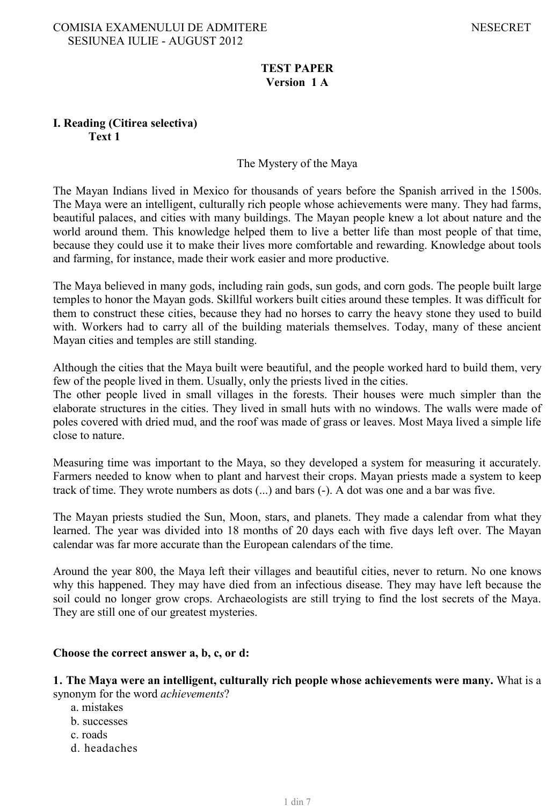# **TEST PAPER Version 1 A**

## **I. Reading (Citirea selectiva) Text 1**

### The Mystery of the Maya

The Mayan Indians lived in Mexico for thousands of years before the Spanish arrived in the 1500s. The Maya were an intelligent, culturally rich people whose achievements were many. They had farms, beautiful palaces, and cities with many buildings. The Mayan people knew a lot about nature and the world around them. This knowledge helped them to live a better life than most people of that time, because they could use it to make their lives more comfortable and rewarding. Knowledge about tools and farming, for instance, made their work easier and more productive.

The Maya believed in many gods, including rain gods, sun gods, and corn gods. The people built large temples to honor the Mayan gods. Skillful workers built cities around these temples. It was difficult for them to construct these cities, because they had no horses to carry the heavy stone they used to build with. Workers had to carry all of the building materials themselves. Today, many of these ancient Mayan cities and temples are still standing.

Although the cities that the Maya built were beautiful, and the people worked hard to build them, very few of the people lived in them. Usually, only the priests lived in the cities.

The other people lived in small villages in the forests. Their houses were much simpler than the elaborate structures in the cities. They lived in small huts with no windows. The walls were made of poles covered with dried mud, and the roof was made of grass or leaves. Most Maya lived a simple life close to nature.

Measuring time was important to the Maya, so they developed a system for measuring it accurately. Farmers needed to know when to plant and harvest their crops. Mayan priests made a system to keep track of time. They wrote numbers as dots (...) and bars (-). A dot was one and a bar was five.

The Mayan priests studied the Sun, Moon, stars, and planets. They made a calendar from what they learned. The year was divided into 18 months of 20 days each with five days left over. The Mayan calendar was far more accurate than the European calendars of the time.

Around the year 800, the Maya left their villages and beautiful cities, never to return. No one knows why this happened. They may have died from an infectious disease. They may have left because the soil could no longer grow crops. Archaeologists are still trying to find the lost secrets of the Maya. They are still one of our greatest mysteries.

#### **Choose the correct answer a, b, c, or d:**

**1. The Maya were an intelligent, culturally rich people whose achievements were many.** What is a synonym for the word *achievements*?

- a. mistakes
- b. successes
- c. roads
- d. headaches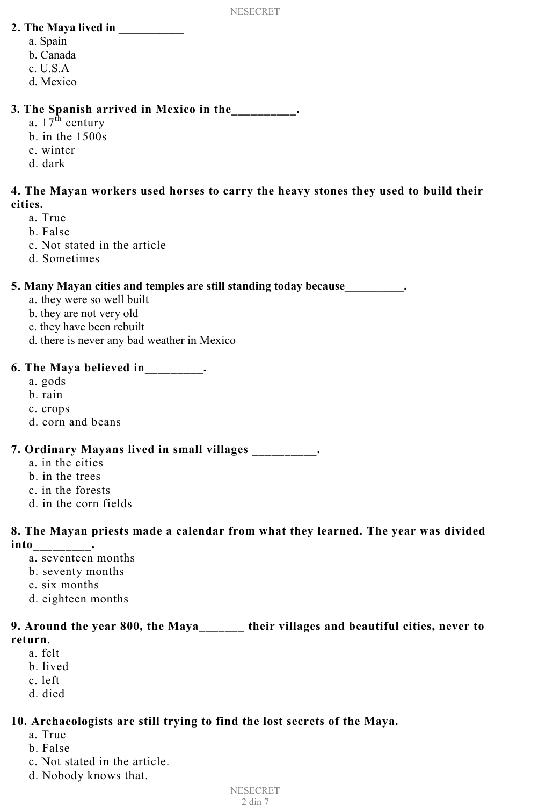# **2. The Maya lived in \_\_\_\_\_\_\_\_\_\_\_**

- a. Spain
- b. Canada
- c. U.S.A
- d. Mexico

# **3. The Spanish arrived in Mexico in the\_\_\_\_\_\_\_\_\_\_.**

- a.  $17<sup>th</sup>$  century
- b. in the 1500s
- c. winter
- d. dark

# **4. The Mayan workers used horses to carry the heavy stones they used to build their cities.**

- a. True
- b. False
- c. Not stated in the article
- d. Sometimes

# **5. Many Mayan cities and temples are still standing today because\_\_\_\_\_\_\_\_\_\_.**

- a. they were so well built
- b. they are not very old
- c. they have been rebuilt
- d. there is never any bad weather in Mexico

# **6. The Maya believed in\_\_\_\_\_\_\_\_\_.**

- a. gods
- b. rain
- c. crops
- d. corn and beans

# **7. Ordinary Mayans lived in small villages \_\_\_\_\_\_\_\_\_\_.**

- a. in the cities
- b. in the trees
- c. in the forests
- d. in the corn fields

## **8. The Mayan priests made a calendar from what they learned. The year was divided into\_\_\_\_\_\_\_\_\_.**

- a. seventeen months
- b. seventy months
- c. six months
- d. eighteen months

# **9. Around the year 800, the Maya\_\_\_\_\_\_\_ their villages and beautiful cities, never to return**.

- a. felt
	- b. lived
	- c. left
	- d. died

# **10. Archaeologists are still trying to find the lost secrets of the Maya.**

- a. True
- b. False
- c. Not stated in the article.
- d. Nobody knows that.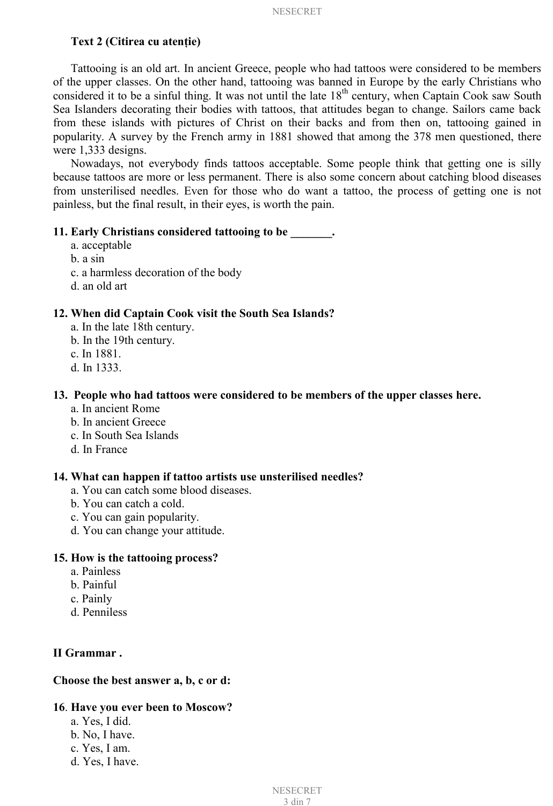#### **Text 2** (Citirea cu atentie)

Tattooing is an old art. In ancient Greece, people who had tattoos were considered to be members of the upper classes. On the other hand, tattooing was banned in Europe by the early Christians who considered it to be a sinful thing. It was not until the late 18<sup>th</sup> century, when Captain Cook saw South Sea Islanders decorating their bodies with tattoos, that attitudes began to change. Sailors came back from these islands with pictures of Christ on their backs and from then on, tattooing gained in popularity. A survey by the French army in 1881 showed that among the 378 men questioned, there were 1,333 designs.

Nowadays, not everybody finds tattoos acceptable. Some people think that getting one is silly because tattoos are more or less permanent. There is also some concern about catching blood diseases from unsterilised needles. Even for those who do want a tattoo, the process of getting one is not painless, but the final result, in their eyes, is worth the pain.

### **11. Early Christians considered tattooing to be \_\_\_\_\_\_\_.**

- a. acceptable
- b. a sin
- c. a harmless decoration of the body
- d. an old art

#### **12. When did Captain Cook visit the South Sea Islands?**

- a. In the late 18th century.
- b. In the 19th century.
- c. In 1881.
- d. In 1333.

#### **13. People who had tattoos were considered to be members of the upper classes here.**

- a. In ancient Rome
- b. In ancient Greece
- c. In South Sea Islands
- d. In France

#### **14. What can happen if tattoo artists use unsterilised needles?**

- a. You can catch some blood diseases.
- b. You can catch a cold.
- c. You can gain popularity.
- d. You can change your attitude.

#### **15. How is the tattooing process?**

- a. Painless
- b. Painful
- c. Painly
- d. Penniless

#### **II Grammar .**

#### **Choose the best answer a, b, c or d:**

#### **16**. **Have you ever been to Moscow?**

- a. Yes, I did.
- b. No, I have.
- c. Yes, I am.
- d. Yes, I have.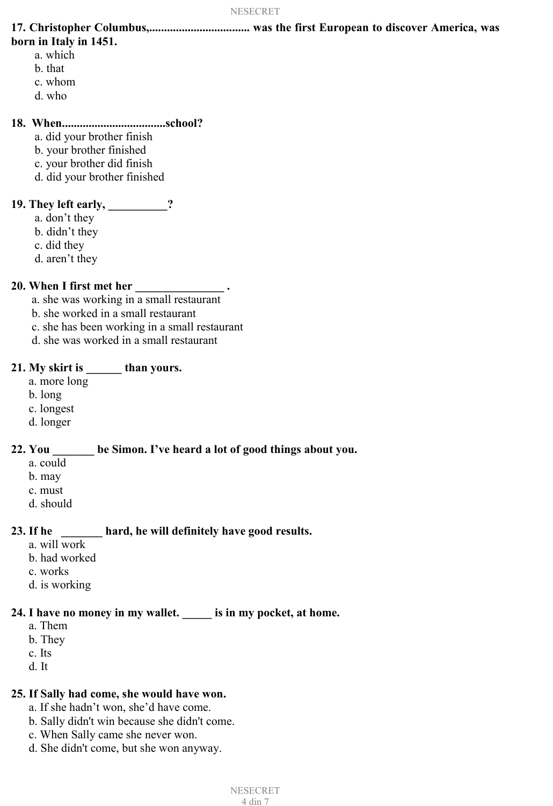**17. Christopher Columbus,.................................. was the first European to discover America, was born in Italy in 1451.**

- a. which
- b. that
- c. whom
- d. who

#### **18. When...................................school?**

- a. did your brother finish
- b. your brother finished
- c. your brother did finish
- d. did your brother finished

## **19. They left early, \_\_\_\_\_\_\_\_\_\_?**

- a. don't they
- b. didn't they
- c. did they
- d. aren't they

## **20. When I first met her \_\_\_\_\_\_\_\_\_\_\_\_\_\_\_ .**

- a. she was working in a small restaurant
- b. she worked in a small restaurant
- c. she has been working in a small restaurant
- d. she was worked in a small restaurant

### **21. My skirt is \_\_\_\_\_\_ than yours.**

- a. more long
- b. long
- c. longest
- d. longer

## **22. You \_\_\_\_\_\_\_ be Simon. I've heard a lot of good things about you.**

- a. could
- b. may
- c. must
- d. should

## **23. If he \_\_\_\_\_\_\_ hard, he will definitely have good results.**

- a. will work
- b. had worked
- c. works
- d. is working

## **24. I have no money in my wallet. \_\_\_\_\_ is in my pocket, at home.**

- a. Them
- b. They
- c. Its
- d. It

#### **25. If Sally had come, she would have won.**

- a. If she hadn't won, she'd have come.
- b. Sally didn't win because she didn't come.
- c. When Sally came she never won.
- d. She didn't come, but she won anyway.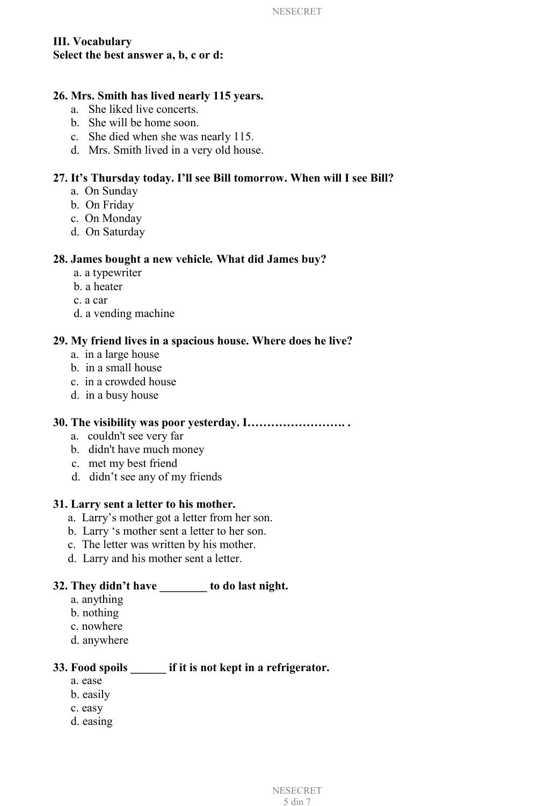# **III. Vocabulary Select the best answer a, b, c or d:**

#### **26. Mrs. Smith has lived nearly 115 years.**

- a. She liked live concerts.
- b. She will be home soon.
- c. She died when she was nearly 115.
- d. Mrs. Smith lived in a very old house.

## **27. It's Thursday today. I'll see Bill tomorrow. When will I see Bill?**

- a. On Sunday
- b. On Friday
- c. On Monday
- d. On Saturday

#### **28. James bought a new vehicle***.* **What did James buy?**

- a. a typewriter
- b. a heater
- c. a car
- d. a vending machine

#### **29. My friend lives in a spacious house. Where does he live?**

- a. in a large house
- b. in a small house
- c. in a crowded house
- d. in a busy house

## **30. The visibility was poor yesterday. I……………………. .**

- a. couldn't see very far
- b. didn't have much money
- c. met my best friend
- d. didn't see any of my friends

#### **31. Larry sent a letter to his mother.**

- a. Larry's mother got a letter from her son.
- b. Larry 's mother sent a letter to her son.
- c. The letter was written by his mother.
- d. Larry and his mother sent a letter.

## **32. They didn't have \_\_\_\_\_\_\_\_ to do last night.**

- a. anything
- b. nothing
- c. nowhere
- d. anywhere

# **33. Food spoils \_\_\_\_\_\_ if it is not kept in a refrigerator.**

- a. ease
- b. easily
- c. easy
- d. easing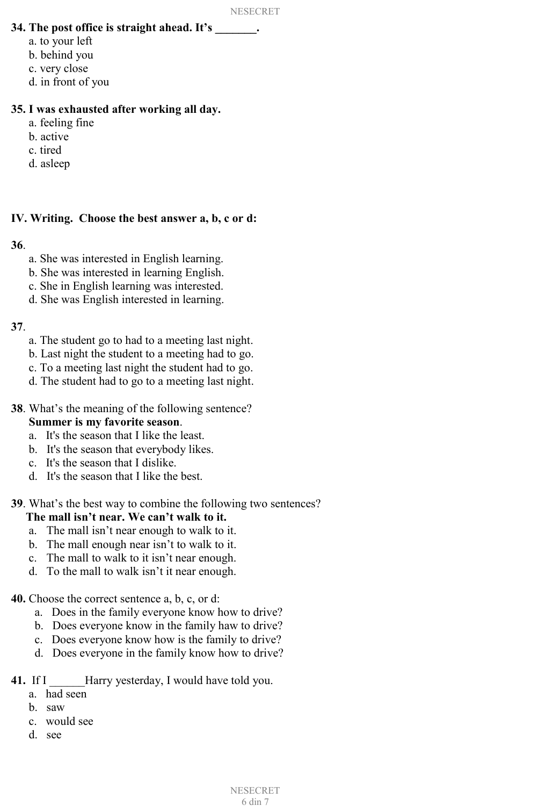### **34. The post office is straight ahead. It's \_\_\_\_\_\_\_.**

- a. to your left
- b. behind you
- c. very close
- d. in front of you

### **35. I was exhausted after working all day.**

- a. feeling fine
- b. active
- c. tired
- d. asleep

#### **IV. Writing. Choose the best answer a, b, c or d:**

#### **36**.

- a. She was interested in English learning.
- b. She was interested in learning English.
- c. She in English learning was interested.
- d. She was English interested in learning.

## **37**.

- a. The student go to had to a meeting last night.
- b. Last night the student to a meeting had to go.
- c. To a meeting last night the student had to go.
- d. The student had to go to a meeting last night.
- **38**. What's the meaning of the following sentence? **Summer is my favorite season**.
	- a. It's the season that I like the least.
	- b. It's the season that everybody likes.
	- c. It's the season that I dislike.
	- d. It's the season that I like the best.

## **39**. What's the best way to combine the following two sentences?

## **The mall isn't near. We can't walk to it.**

- a. The mall isn't near enough to walk to it.
- b. The mall enough near isn't to walk to it.
- c. The mall to walk to it isn't near enough.
- d. To the mall to walk isn't it near enough.
- **40.** Choose the correct sentence a, b, c, or d:
	- a. Does in the family everyone know how to drive?
	- b. Does everyone know in the family haw to drive?
	- c. Does everyone know how is the family to drive?
	- d. Does everyone in the family know how to drive?
- **41.** If I \_\_\_\_\_\_Harry yesterday, I would have told you.
	- a. had seen
	- b. saw
	- c. would see
	- d. see